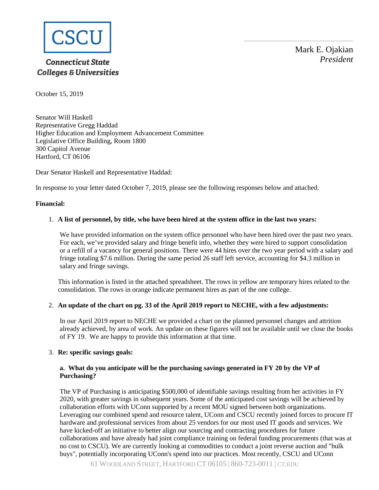

# **Connecticut State Colleges & Universities**

Mark E. Ojakian *President*

October 15, 2019

Senator Will Haskell Representative Gregg Haddad Higher Education and Employment Advancement Committee Legislative Office Building, Room 1800 300 Capitol Avenue Hartford, CT 06106

Dear Senator Haskell and Representative Haddad:

In response to your letter dated October 7, 2019, please see the following responses below and attached.

## **Financial:**

## 1. **A list of personnel, by title, who have been hired at the system office in the last two years:**

We have provided information on the system office personnel who have been hired over the past two years. For each, we've provided salary and fringe benefit info, whether they were hired to support consolidation or a refill of a vacancy for general positions. There were 44 hires over the two year period with a salary and fringe totaling \$7.6 million. During the same period 26 staff left service, accounting for \$4.3 million in salary and fringe savings.

This information is listed in the attached spreadsheet. The rows in yellow are temporary hires related to the consolidation. The rows in orange indicate permanent hires as part of the one college.

## 2. **An update of the chart on pg. 33 of the April 2019 report to NECHE, with a few adjustments:**

In our April 2019 report to NECHE we provided a chart on the planned personnel changes and attrition already achieved, by area of work. An update on these figures will not be available until we close the books of FY 19. We are happy to provide this information at that time.

# 3. **Re: specific savings goals:**

# **a. What do you anticipate will be the purchasing savings generated in FY 20 by the VP of Purchasing?**

The VP of Purchasing is anticipating \$500,000 of identifiable savings resulting from her activities in FY 2020, with greater savings in subsequent years. Some of the anticipated cost savings will be achieved by collaboration efforts with UConn supported by a recent MOU signed between both organizations. Leveraging our combined spend and resource talent, UConn and CSCU recently joined forces to procure IT hardware and professional services from about 25 vendors for our most used IT goods and services. We have kicked-off an initiative to better align our sourcing and contracting procedures for future collaborations and have already had joint compliance training on federal funding procurements (that was at no cost to CSCU). We are currently looking at commodities to conduct a joint reverse auction and "bulk buys", potentially incorporating UConn's spend into our practices. Most recently, CSCU and UConn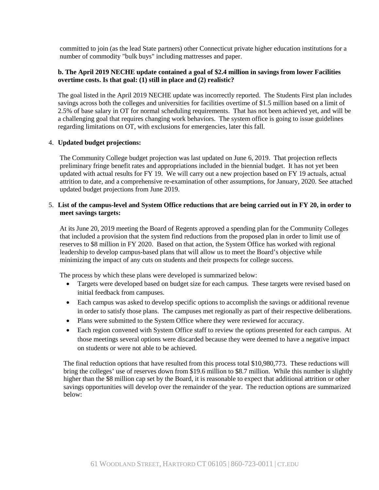committed to join (as the lead State partners) other Connecticut private higher education institutions for a number of commodity "bulk buys" including mattresses and paper.

## **b. The April 2019 NECHE update contained a goal of \$2.4 million in savings from lower Facilities overtime costs. Is that goal: (1) still in place and (2) realistic?**

The goal listed in the April 2019 NECHE update was incorrectly reported. The Students First plan includes savings across both the colleges and universities for facilities overtime of \$1.5 million based on a limit of 2.5% of base salary in OT for normal scheduling requirements. That has not been achieved yet, and will be a challenging goal that requires changing work behaviors. The system office is going to issue guidelines regarding limitations on OT, with exclusions for emergencies, later this fall.

## 4. **Updated budget projections:**

The Community College budget projection was last updated on June 6, 2019. That projection reflects preliminary fringe benefit rates and appropriations included in the biennial budget. It has not yet been updated with actual results for FY 19. We will carry out a new projection based on FY 19 actuals, actual attrition to date, and a comprehensive re-examination of other assumptions, for January, 2020. See attached updated budget projections from June 2019.

## 5. **List of the campus-level and System Office reductions that are being carried out in FY 20, in order to meet savings targets:**

At its June 20, 2019 meeting the Board of Regents approved a spending plan for the Community Colleges that included a provision that the system find reductions from the proposed plan in order to limit use of reserves to \$8 million in FY 2020. Based on that action, the System Office has worked with regional leadership to develop campus-based plans that will allow us to meet the Board's objective while minimizing the impact of any cuts on students and their prospects for college success.

The process by which these plans were developed is summarized below:

- Targets were developed based on budget size for each campus. These targets were revised based on initial feedback from campuses.
- Each campus was asked to develop specific options to accomplish the savings or additional revenue in order to satisfy those plans. The campuses met regionally as part of their respective deliberations.
- Plans were submitted to the System Office where they were reviewed for accuracy.
- Each region convened with System Office staff to review the options presented for each campus. At those meetings several options were discarded because they were deemed to have a negative impact on students or were not able to be achieved.

The final reduction options that have resulted from this process total \$10,980,773. These reductions will bring the colleges' use of reserves down from \$19.6 million to \$8.7 million. While this number is slightly higher than the \$8 million cap set by the Board, it is reasonable to expect that additional attrition or other savings opportunities will develop over the remainder of the year. The reduction options are summarized below: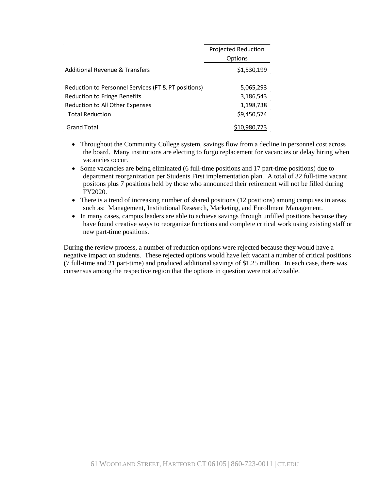|                                                     | Projected Reduction<br>Options |  |
|-----------------------------------------------------|--------------------------------|--|
| Additional Revenue & Transfers                      | \$1,530,199                    |  |
| Reduction to Personnel Services (FT & PT positions) | 5,065,293                      |  |
| <b>Reduction to Fringe Benefits</b>                 | 3,186,543                      |  |
| Reduction to All Other Expenses                     | 1,198,738                      |  |
| <b>Total Reduction</b>                              | \$9,450,574                    |  |
| <b>Grand Total</b>                                  | S10.980.773                    |  |

- Throughout the Community College system, savings flow from a decline in personnel cost across the board. Many institutions are electing to forgo replacement for vacancies or delay hiring when vacancies occur.
- Some vacancies are being eliminated (6 full-time positions and 17 part-time positions) due to department reorganization per Students First implementation plan. A total of 32 full-time vacant positons plus 7 positions held by those who announced their retirement will not be filled during FY2020.
- There is a trend of increasing number of shared positions (12 positions) among campuses in areas such as: Management, Institutional Research, Marketing, and Enrollment Management.
- In many cases, campus leaders are able to achieve savings through unfilled positions because they have found creative ways to reorganize functions and complete critical work using existing staff or new part-time positions.

During the review process, a number of reduction options were rejected because they would have a negative impact on students. These rejected options would have left vacant a number of critical positions (7 full-time and 21 part-time) and produced additional savings of \$1.25 million. In each case, there was consensus among the respective region that the options in question were not advisable.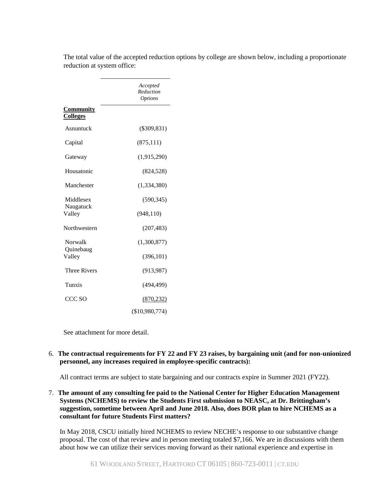|                                     | Accepted<br>Reduction<br><i>Options</i> |
|-------------------------------------|-----------------------------------------|
| <u>Community</u><br><b>Colleges</b> |                                         |
| Asnuntuck                           | $(\$309,831)$                           |
| Capital                             | (875, 111)                              |
| Gateway                             | (1,915,290)                             |
| Housatonic                          | (824, 528)                              |
| Manchester                          | (1,334,380)                             |
| Middlesex                           | (590, 345)                              |
| Naugatuck<br>Valley                 | (948, 110)                              |
| Northwestern                        | (207, 483)                              |
| Norwalk                             | (1,300,877)                             |
| Quinebaug<br>Valley                 | (396, 101)                              |
| <b>Three Rivers</b>                 | (913, 987)                              |
| Tunxis                              | (494, 499)                              |
| CCC SO                              | (870, 232)                              |
|                                     | (\$10,980,774)                          |

The total value of the accepted reduction options by college are shown below, including a proportionate reduction at system office:

See attachment for more detail.

## 6. **The contractual requirements for FY 22 and FY 23 raises, by bargaining unit (and for non-unionized personnel, any increases required in employee-specific contracts):**

All contract terms are subject to state bargaining and our contracts expire in Summer 2021 (FY22).

7. **The amount of any consulting fee paid to the National Center for Higher Education Management Systems (NCHEMS) to review the Students First submission to NEASC, at Dr. Brittingham's suggestion, sometime between April and June 2018. Also, does BOR plan to hire NCHEMS as a consultant for future Students First matters?**

In May 2018, CSCU initially hired NCHEMS to review NECHE's response to our substantive change proposal. The cost of that review and in person meeting totaled \$7,166. We are in discussions with them about how we can utilize their services moving forward as their national experience and expertise in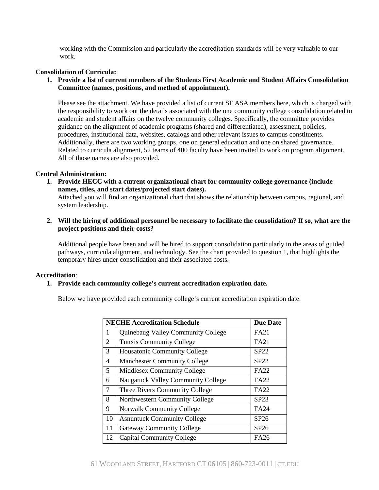working with the Commission and particularly the accreditation standards will be very valuable to our work.

#### **Consolidation of Curricula:**

**1. Provide a list of current members of the Students First Academic and Student Affairs Consolidation Committee (names, positions, and method of appointment).**

Please see the attachment. We have provided a list of current SF ASA members here, which is charged with the responsibility to work out the details associated with the one community college consolidation related to academic and student affairs on the twelve community colleges. Specifically, the committee provides guidance on the alignment of academic programs (shared and differentiated), assessment, policies, procedures, institutional data, websites, catalogs and other relevant issues to campus constituents. Additionally, there are two working groups, one on general education and one on shared governance. Related to curricula alignment, 52 teams of 400 faculty have been invited to work on program alignment. All of those names are also provided.

#### **Central Administration:**

**1. Provide HECC with a current organizational chart for community college governance (include names, titles, and start dates/projected start dates).**

Attached you will find an organizational chart that shows the relationship between campus, regional, and system leadership.

**2. Will the hiring of additional personnel be necessary to facilitate the consolidation? If so, what are the project positions and their costs?**

Additional people have been and will be hired to support consolidation particularly in the areas of guided pathways, curricula alignment, and technology. See the chart provided to question 1, that highlights the temporary hires under consolidation and their associated costs.

#### **Accreditation**:

#### **1. Provide each community college's current accreditation expiration date.**

Below we have provided each community college's current accreditation expiration date.

|        | <b>NECHE Accreditation Schedule</b>       | <b>Due Date</b> |
|--------|-------------------------------------------|-----------------|
| 1      | Quinebaug Valley Community College        | <b>FA21</b>     |
| 2      | <b>Tunxis Community College</b>           | <b>FA21</b>     |
| 3      | <b>Housatonic Community College</b>       | SP22            |
| 4      | <b>Manchester Community College</b>       | SP22            |
| 5      | Middlesex Community College               | <b>FA22</b>     |
| 6      | <b>Naugatuck Valley Community College</b> | <b>FA22</b>     |
| $\tau$ | Three Rivers Community College            | <b>FA22</b>     |
| 8      | Northwestern Community College            | SP23            |
| 9      | <b>Norwalk Community College</b>          | <b>FA24</b>     |
| 10     | <b>Asnuntuck Community College</b>        | SP26            |
| 11     | <b>Gateway Community College</b>          | SP26            |
| 12     | <b>Capital Community College</b>          | <b>FA26</b>     |